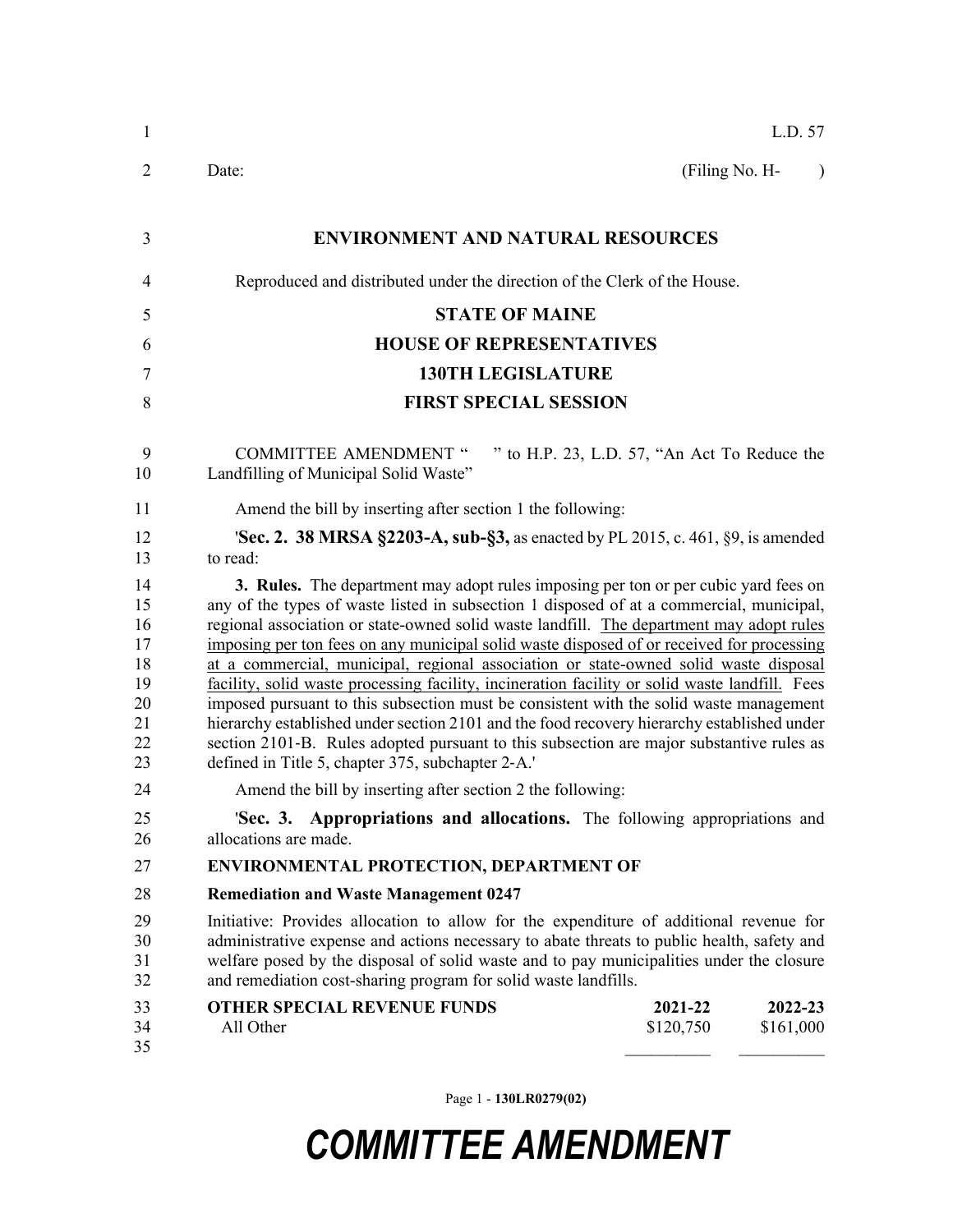| 1                                                        | L.D. 57                                                                                                                                                                                                                                                                                                                                                                                                                                                                                                                                                                                                                                                                                                                                                                                                                                                                                                     |  |  |
|----------------------------------------------------------|-------------------------------------------------------------------------------------------------------------------------------------------------------------------------------------------------------------------------------------------------------------------------------------------------------------------------------------------------------------------------------------------------------------------------------------------------------------------------------------------------------------------------------------------------------------------------------------------------------------------------------------------------------------------------------------------------------------------------------------------------------------------------------------------------------------------------------------------------------------------------------------------------------------|--|--|
| 2                                                        | Date:<br>(Filing No. H-<br>$\lambda$                                                                                                                                                                                                                                                                                                                                                                                                                                                                                                                                                                                                                                                                                                                                                                                                                                                                        |  |  |
| 3                                                        | <b>ENVIRONMENT AND NATURAL RESOURCES</b>                                                                                                                                                                                                                                                                                                                                                                                                                                                                                                                                                                                                                                                                                                                                                                                                                                                                    |  |  |
| 4                                                        | Reproduced and distributed under the direction of the Clerk of the House.                                                                                                                                                                                                                                                                                                                                                                                                                                                                                                                                                                                                                                                                                                                                                                                                                                   |  |  |
| 5                                                        | <b>STATE OF MAINE</b>                                                                                                                                                                                                                                                                                                                                                                                                                                                                                                                                                                                                                                                                                                                                                                                                                                                                                       |  |  |
| 6                                                        | <b>HOUSE OF REPRESENTATIVES</b>                                                                                                                                                                                                                                                                                                                                                                                                                                                                                                                                                                                                                                                                                                                                                                                                                                                                             |  |  |
| 7                                                        | <b>130TH LEGISLATURE</b>                                                                                                                                                                                                                                                                                                                                                                                                                                                                                                                                                                                                                                                                                                                                                                                                                                                                                    |  |  |
| 8                                                        | <b>FIRST SPECIAL SESSION</b>                                                                                                                                                                                                                                                                                                                                                                                                                                                                                                                                                                                                                                                                                                                                                                                                                                                                                |  |  |
| 9<br>10                                                  | " to H.P. 23, L.D. 57, "An Act To Reduce the<br><b>COMMITTEE AMENDMENT "</b><br>Landfilling of Municipal Solid Waste"                                                                                                                                                                                                                                                                                                                                                                                                                                                                                                                                                                                                                                                                                                                                                                                       |  |  |
| 11                                                       | Amend the bill by inserting after section 1 the following:                                                                                                                                                                                                                                                                                                                                                                                                                                                                                                                                                                                                                                                                                                                                                                                                                                                  |  |  |
| 12<br>13                                                 | <b>Sec. 2. 38 MRSA §2203-A, sub-§3, as enacted by PL 2015, c. 461, §9, is amended</b><br>to read:                                                                                                                                                                                                                                                                                                                                                                                                                                                                                                                                                                                                                                                                                                                                                                                                           |  |  |
| 14<br>15<br>16<br>17<br>18<br>19<br>20<br>21<br>22<br>23 | 3. Rules. The department may adopt rules imposing per ton or per cubic yard fees on<br>any of the types of waste listed in subsection 1 disposed of at a commercial, municipal,<br>regional association or state-owned solid waste landfill. The department may adopt rules<br>imposing per ton fees on any municipal solid waste disposed of or received for processing<br>at a commercial, municipal, regional association or state-owned solid waste disposal<br>facility, solid waste processing facility, incineration facility or solid waste landfill. Fees<br>imposed pursuant to this subsection must be consistent with the solid waste management<br>hierarchy established under section 2101 and the food recovery hierarchy established under<br>section 2101-B. Rules adopted pursuant to this subsection are major substantive rules as<br>defined in Title 5, chapter 375, subchapter 2-A.' |  |  |
| 24                                                       | Amend the bill by inserting after section 2 the following:                                                                                                                                                                                                                                                                                                                                                                                                                                                                                                                                                                                                                                                                                                                                                                                                                                                  |  |  |
| 25<br>26                                                 | 'Sec. 3. Appropriations and allocations. The following appropriations and<br>allocations are made.                                                                                                                                                                                                                                                                                                                                                                                                                                                                                                                                                                                                                                                                                                                                                                                                          |  |  |
| 27                                                       | <b>ENVIRONMENTAL PROTECTION, DEPARTMENT OF</b>                                                                                                                                                                                                                                                                                                                                                                                                                                                                                                                                                                                                                                                                                                                                                                                                                                                              |  |  |
| 28                                                       | <b>Remediation and Waste Management 0247</b>                                                                                                                                                                                                                                                                                                                                                                                                                                                                                                                                                                                                                                                                                                                                                                                                                                                                |  |  |
| 29<br>30<br>31<br>32                                     | Initiative: Provides allocation to allow for the expenditure of additional revenue for<br>administrative expense and actions necessary to abate threats to public health, safety and<br>welfare posed by the disposal of solid waste and to pay municipalities under the closure<br>and remediation cost-sharing program for solid waste landfills.                                                                                                                                                                                                                                                                                                                                                                                                                                                                                                                                                         |  |  |
| 33<br>34<br>35                                           | <b>OTHER SPECIAL REVENUE FUNDS</b><br>2021-22<br>2022-23<br>All Other<br>\$120,750<br>\$161,000                                                                                                                                                                                                                                                                                                                                                                                                                                                                                                                                                                                                                                                                                                                                                                                                             |  |  |

Page 1 - **130LR0279(02)**

## *COMMITTEE AMENDMENT*